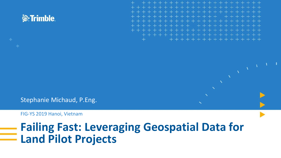

Stephanie Michaud, P.Eng.

FIG-YS 2019 Hanoi, Vietnam

### **Failing Fast: Leveraging Geospatial Data for Land Pilot Projects**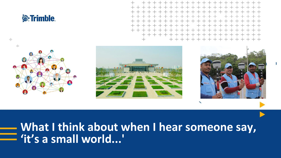



### **What I think about when I hear someone say, 'it's a small world...'**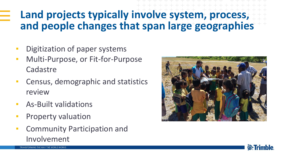### **Land projects typically involve system, process, and people changes that span large geographies**

- **•** Digitization of paper systems
- **EXEC** Multi-Purpose, or Fit-for-Purpose Cadastre
- **EXEC** Census, demographic and statistics review
- **E** As-Built validations
- Property valuation
- **EXECOMMUNITY Participation and** Involvement



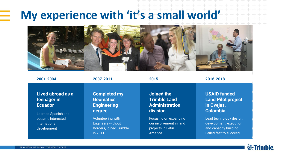## **My experience with 'it's a small world'**

in 2011



| 2001-2004                  | 2007-2011                      | 2015                    | 2016-2018                 |
|----------------------------|--------------------------------|-------------------------|---------------------------|
| Lived abroad as a          | <b>Completed my</b>            | Joined the              | <b>USAID funded</b>       |
| teenager in                | <b>Geomatics</b>               | <b>Trimble Land</b>     | <b>Land Pilot project</b> |
| <b>Ecuador</b>             | <b>Engineering</b>             | <b>Administration</b>   | in Ovejas,                |
| <b>Learned Spanish and</b> | degree                         | division                | <b>Colombia</b>           |
| became interested in       | <b>Volunteering with</b>       | Focusing on expanding   | Lead technology design,   |
| international              | <b>Engineers without</b>       | our involvement in land | development, execution    |
| development                | <b>Borders, joined Trimble</b> | projects in Latin       | and capacity building.    |

America

Failed fast to succeed

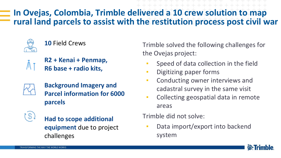#### **In Ovejas, Colombia, Trimble delivered a 10 crew solution to map rural land parcels to assist with the restitution process post civil war**



**10** Field Crews



**R2 + Kenai + Penmap, R6 base + radio kits,**



**Background Imagery and Parcel information for 6000 parcels**

**Had to scope additional equipment** due to project challenges

Trimble solved the following challenges for the Ovejas project:

- Speed of data collection in the field
- **•** Digitizing paper forms
- **Conducting owner interviews and** cadastral survey in the same visit
- Collecting geospatial data in remote areas

Trimble did not solve:

Data import/export into backend system

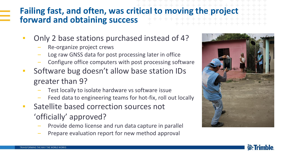#### **Failing fast, and often, was critical to moving the project forward and obtaining success**

- Only 2 base stations purchased instead of 4?
	- Re-organize project crews
	- Log raw GNSS data for post processing later in office
	- Configure office computers with post processing software
- Software bug doesn't allow base station IDs greater than 9?
	- Test locally to isolate hardware vs software issue
	- Feed data to engineering teams for hot-fix, roll out locally
- Satellite based correction sources not 'officially' approved?
	- Provide demo license and run data capture in parallel
	- Prepare evaluation report for new method approval



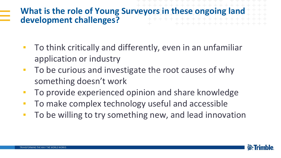### **What is the role of Young Surveyors in these ongoing land development challenges?**

- To think critically and differently, even in an unfamiliar application or industry
- To be curious and investigate the root causes of why something doesn't work
- **To provide experienced opinion and share knowledge**
- **To make complex technology useful and accessible**
- **To be willing to try something new, and lead innovation**

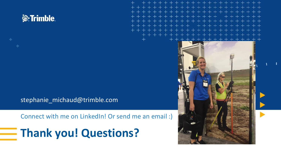

stephanie\_michaud@trimble.com

Connect with me on LinkedIn! Or send me an email :)